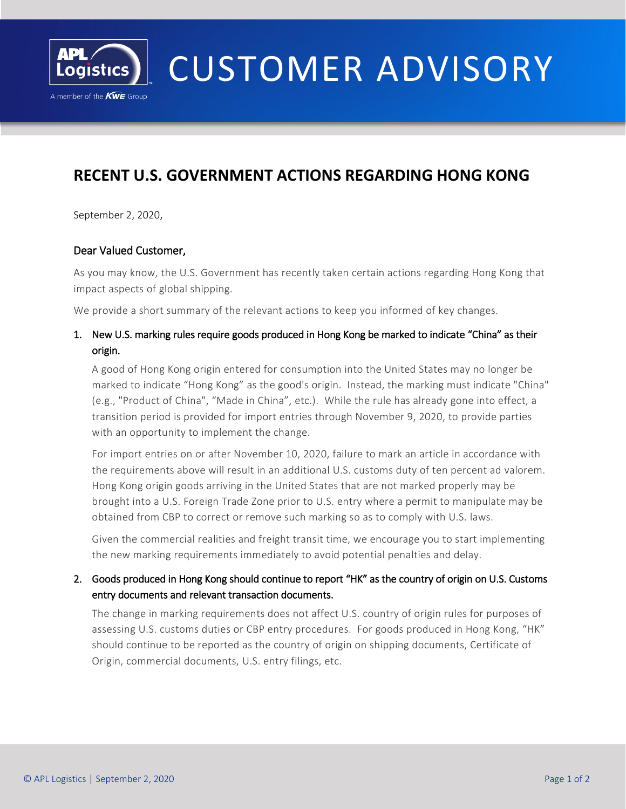

I

# CUSTOMER ADVISORY

# **RECENT U.S. GOVERNMENT ACTIONS REGARDING HONG KONG**

September 2, 2020,

#### Dear Valued Customer,

As you may know, the U.S. Government has recently taken certain actions regarding Hong Kong that impact aspects of global shipping.

We provide a short summary of the relevant actions to keep you informed of key changes.

## 1. New U.S. marking rules require goods produced in Hong Kong be marked to indicate "China" as their origin.

A good of Hong Kong origin entered for consumption into the United States may no longer be marked to indicate "Hong Kong" as the good's origin. Instead, the marking must indicate "China" (e.g., "Product of China", "Made in China", etc.). While the rule has already gone into effect, a transition period is provided for import entries through November 9, 2020, to provide parties with an opportunity to implement the change.

For import entries on or after November 10, 2020, failure to mark an article in accordance with the requirements above will result in an additional U.S. customs duty of ten percent ad valorem. Hong Kong origin goods arriving in the United States that are not marked properly may be brought into a U.S. Foreign Trade Zone prior to U.S. entry where a permit to manipulate may be obtained from CBP to correct or remove such marking so as to comply with U.S. laws.

Given the commercial realities and freight transit time, we encourage you to start implementing the new marking requirements immediately to avoid potential penalties and delay.

#### 2. Goods produced in Hong Kong should continue to report "HK" as the country of origin on U.S. Customs entry documents and relevant transaction documents.

The change in marking requirements does not affect U.S. country of origin rules for purposes of assessing U.S. customs duties or CBP entry procedures. For goods produced in Hong Kong, "HK" should continue to be reported as the country of origin on shipping documents, Certificate of Origin, commercial documents, U.S. entry filings, etc.